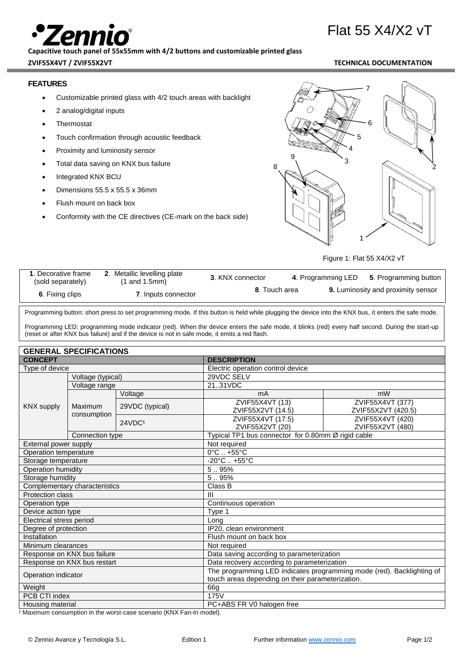# Flat 55 X4/X2 vT

## **Capacitive touch panel of 55x55mm with 4/2 buttons and customizable printed glass**

### **ZVIF55X4VT / ZVIF55X2VT TECHNICAL DOCUMENTATION**

# **FEATURES**

- Customizable printed glass with 4/2 touch areas with backlight
- 2 analog/digital inputs
- **Thermostat**
- Touch confirmation through acoustic feedback
- Proximity and luminosity sensor
- Total data saving on KNX bus failure
- Integrated KNX BCU
- Dimensions 55.5 x 55.5 x 36mm
- Flush mount on back box
- Conformity with the CE directives (CE-mark on the back side)



Figure 1: Flat 55 X4/X2 vT

| 1. Decorative frame<br>(sold separately) | Metallic levelling plate<br>$(1 \text{ and } 1.5 \text{mm})$ | 3. KNX connector | 4. Programming LED | 5. Programming button                     |
|------------------------------------------|--------------------------------------------------------------|------------------|--------------------|-------------------------------------------|
| 6. Fixing clips                          | 7. Inputs connector                                          | 8. Touch area    |                    | <b>9.</b> Luminosity and proximity sensor |

Programming button: short press to set programming mode. If this button is held while plugging the device into the KNX bus, it enters the safe mode.

Programming LED: programming mode indicator (red). When the device enters the safe mode, it blinks (red) every half second. During the start-up (reset or after KNX bus failure) and if the device is not in safe mode, it emits a red flash.

| <b>GENERAL SPECIFICATIONS</b> |
|-------------------------------|
|-------------------------------|

| GENERAL SPECIFICATIONS        |                   |                                                                       |                                           |                                                    |  |  |
|-------------------------------|-------------------|-----------------------------------------------------------------------|-------------------------------------------|----------------------------------------------------|--|--|
| <b>CONCEPT</b>                |                   | <b>DESCRIPTION</b>                                                    |                                           |                                                    |  |  |
| Type of device                |                   | Electric operation control device                                     |                                           |                                                    |  |  |
|                               | Voltage (typical) |                                                                       | 29VDC SELV                                |                                                    |  |  |
|                               | Voltage range     |                                                                       | 2131VDC                                   |                                                    |  |  |
|                               |                   | Voltage                                                               | mA                                        | mW                                                 |  |  |
| <b>KNX supply</b>             | Maximum           | 29VDC (typical)                                                       | ZVIF55X4VT (13)                           | ZVIF55X4VT (377)                                   |  |  |
|                               | consumption       |                                                                       | ZVIF55X2VT (14.5)                         | ZVIF55X2VT (420.5)                                 |  |  |
|                               |                   | 24VDC <sup>1</sup>                                                    | ZVIF55X4VT (17.5)                         | ZVIF55X4VT (420)                                   |  |  |
|                               |                   |                                                                       | ZVIF55X2VT (20)                           | ZVIF55X2VT (480)                                   |  |  |
|                               | Connection type   |                                                                       |                                           | Typical TP1 bus connector for 0.80mm Ø rigid cable |  |  |
| External power supply         |                   |                                                                       | Not required                              |                                                    |  |  |
| Operation temperature         |                   |                                                                       | $0^{\circ}$ C $\ldots$ +55 $^{\circ}$ C   |                                                    |  |  |
| Storage temperature           |                   |                                                                       |                                           | $-20^{\circ}$ C  +55 $^{\circ}$ C                  |  |  |
| Operation humidity            |                   |                                                                       | 5.95%                                     |                                                    |  |  |
| Storage humidity              |                   |                                                                       | 5.95%                                     |                                                    |  |  |
| Complementary characteristics |                   | Class B                                                               |                                           |                                                    |  |  |
| Protection class              |                   | $\mathbf{III}$                                                        |                                           |                                                    |  |  |
| Operation type                |                   | Continuous operation                                                  |                                           |                                                    |  |  |
| Device action type            |                   | Type 1                                                                |                                           |                                                    |  |  |
| Electrical stress period      |                   | Long                                                                  |                                           |                                                    |  |  |
| Degree of protection          |                   | IP20, clean environment                                               |                                           |                                                    |  |  |
| Installation                  |                   | Flush mount on back box                                               |                                           |                                                    |  |  |
| Minimum clearances            |                   | Not required                                                          |                                           |                                                    |  |  |
| Response on KNX bus failure   |                   |                                                                       | Data saving according to parameterization |                                                    |  |  |
| Response on KNX bus restart   |                   | Data recovery according to parameterization                           |                                           |                                                    |  |  |
| Operation indicator           |                   | The programming LED indicates programming mode (red). Backlighting of |                                           |                                                    |  |  |
|                               |                   | touch areas depending on their parameterization.                      |                                           |                                                    |  |  |
| Weight                        |                   | 66g                                                                   |                                           |                                                    |  |  |
| PCB CTI index                 |                   | 175V                                                                  |                                           |                                                    |  |  |
| Housing material              |                   | PC+ABS FR V0 halogen free                                             |                                           |                                                    |  |  |

1 Maximum consumption in the worst-case scenario (KNX Fan-In model).